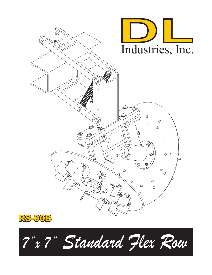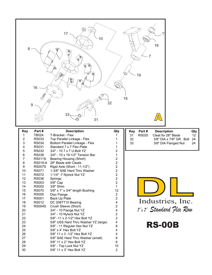| 8<br>16<br>✓<br>$\boldsymbol{9}$                                                                                                                                                                                                                                                                                                                                                                                                                                                                                    | $\otimes$<br>17 <sup>1</sup><br>10<br>$\bigcirc$<br>đ<br>R<br>N<br>O<br>33<br>31                                                                                                                                                                                                                                                                                                                                                                                                                                                                                                                                                                                                                                                                                                                                                                        | 32                                                                                                                                                                                                                                                                                                     | 18<br>$\overline{7}$<br>19<br>18<br>$\Delta$                                                                                                                                                                                                     |
|---------------------------------------------------------------------------------------------------------------------------------------------------------------------------------------------------------------------------------------------------------------------------------------------------------------------------------------------------------------------------------------------------------------------------------------------------------------------------------------------------------------------|---------------------------------------------------------------------------------------------------------------------------------------------------------------------------------------------------------------------------------------------------------------------------------------------------------------------------------------------------------------------------------------------------------------------------------------------------------------------------------------------------------------------------------------------------------------------------------------------------------------------------------------------------------------------------------------------------------------------------------------------------------------------------------------------------------------------------------------------------------|--------------------------------------------------------------------------------------------------------------------------------------------------------------------------------------------------------------------------------------------------------------------------------------------------------|--------------------------------------------------------------------------------------------------------------------------------------------------------------------------------------------------------------------------------------------------|
| Part#<br><b>Key</b><br><b>TB024</b><br>1<br><b>RS033</b><br>2<br>3<br><b>RS034</b><br><b>RS031</b><br>4<br>5<br><b>RS032</b><br>6<br><b>RS038</b><br>7<br><b>RS011S</b><br>8<br><b>RS019-A</b><br>9<br><b>RS007S</b><br>10<br><b>RS071</b><br>11<br><b>RS072</b><br>12<br><b>RS036</b><br>13<br><b>RS003</b><br>14<br><b>RS002</b><br>15<br><b>RS070</b><br>16<br><b>RS005</b><br>17<br><b>RS001</b><br>18<br><b>RS012</b><br>19<br><b>RS004S</b><br>20<br>21<br>22<br>23<br>24<br>25<br>26<br>27<br>28<br>29<br>30 | <b>Description</b><br>T-Bracket - Flex<br>Top Parallel Linkage - Flex<br>Bottom Parallel Linkage - Flex<br>Standard 7 x 7 Flex Plate<br>3/4" - 10 7 x 7 U-Bolt YZ<br>3/4" - 10 x 19-1/2" Tension Bar<br>Bearing Housing (Short)<br>28" Blade with Cleats<br>Rigid Axle (Short - 11-1/2")<br>1-3/8" SAE Hard Thru Washer<br>1-1/4" -7 Nylock Nut YZ<br>Springs<br>5/8" Cap<br>3/8" Shim<br>5/8" x 1" x 3/4" length Bushing<br>Disc Flange<br>Back Up Plate<br>DC 208TT10 Bearing<br>Crush Sleeve (Short)<br>3/4" - 10 Flange Nut YZ<br>3/4" - 10 Nylock Nut YZ<br>5/8" -11 x 2-1/2" Hex Bolt YZ<br>5/8" USS Hard Thru Washer YZ (large)<br>5/8" - 11 Regular Hex Nut YZ<br>5/8" x 4" Hex Bolt YZ<br>5/8" 11 x 3 -1/2" Hex Bolt YZ<br>5/8" SAE Hard Thru Washer (small)<br>5/8" 11 x 2" Hex Bolt YZ<br>5/8" - Top Lock Nut YZ<br>5/8" 11 x 3" Hex Bolt YZ | Qty<br>1<br>2<br>1<br>2<br>$\sqrt{2}$<br>$\sqrt{2}$<br>$\overline{2}$<br>$\boldsymbol{2}$<br>$\sqrt{2}$<br>$\boldsymbol{2}$<br>1<br>12<br>2<br>$\overline{2}$<br>$\overline{\mathbf{4}}$<br>$\sqrt{2}$<br>4<br>$\mathbf 2$<br>$\overline{2}$<br>4<br>8<br>4<br>4<br>8<br>$\,6$<br>10<br>$\overline{2}$ | Part#<br><b>Description</b><br>Qty<br><b>Key</b><br><b>RS020</b><br>Cleat for 28" Blade<br>12<br>31<br>3/8" DIA x 7/8" GR. Bolt<br>32<br>24<br>33<br>3/8" DIA Flanged Nut<br>24<br>Industries, Inc.<br>7"x 7" Standard Flex Row<br><b>RS-00B</b> |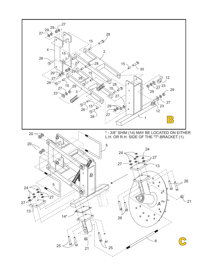